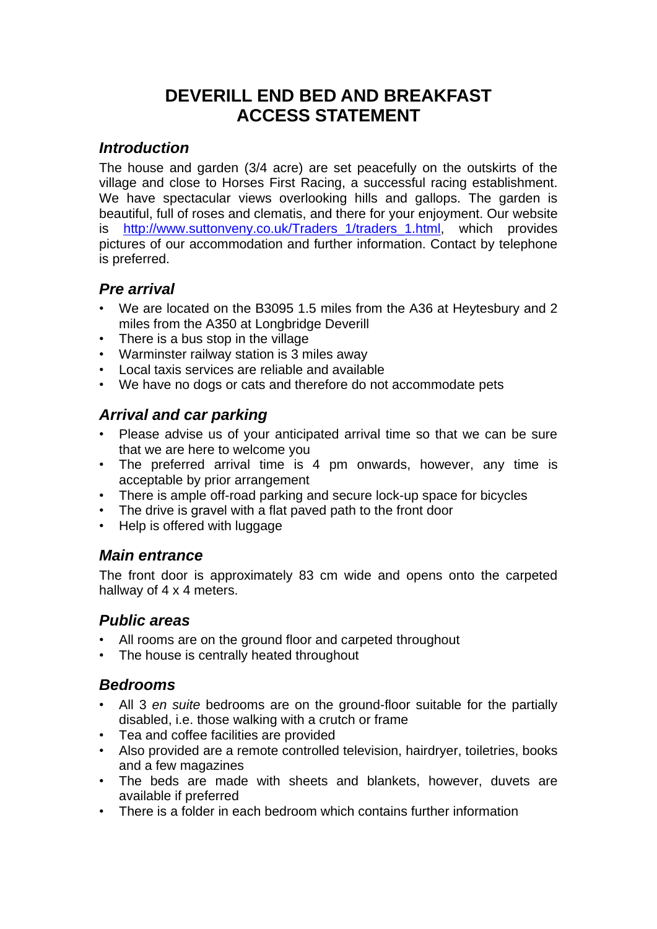# **DEVERILL END BED AND BREAKFAST ACCESS STATEMENT**

## *Introduction*

The house and garden (3/4 acre) are set peacefully on the outskirts of the village and close to Horses First Racing, a successful racing establishment. We have spectacular views overlooking hills and gallops. The garden is beautiful, full of roses and clematis, and there for your enjoyment. Our website is [http://www.suttonveny.co.uk/Traders\\_1/traders\\_1.html,](http://www.suttonveny.co.uk/Traders_1/traders_1.html) which provides pictures of our accommodation and further information. Contact by telephone is preferred.

## *Pre arrival*

- We are located on the B3095 1.5 miles from the A36 at Heytesbury and 2 miles from the A350 at Longbridge Deverill
- There is a bus stop in the village
- Warminster railway station is 3 miles away
- Local taxis services are reliable and available
- We have no dogs or cats and therefore do not accommodate pets

# *Arrival and car parking*

- Please advise us of your anticipated arrival time so that we can be sure that we are here to welcome you
- The preferred arrival time is 4 pm onwards, however, any time is acceptable by prior arrangement
- There is ample off-road parking and secure lock-up space for bicycles
- The drive is gravel with a flat paved path to the front door
- Help is offered with luggage

#### *Main entrance*

The front door is approximately 83 cm wide and opens onto the carpeted hallway of 4 x 4 meters.

#### *Public areas*

- All rooms are on the ground floor and carpeted throughout
- The house is centrally heated throughout

#### *Bedrooms*

- All 3 *en suite* bedrooms are on the ground-floor suitable for the partially disabled, i.e. those walking with a crutch or frame
- Tea and coffee facilities are provided
- Also provided are a remote controlled television, hairdryer, toiletries, books and a few magazines
- The beds are made with sheets and blankets, however, duvets are available if preferred
- There is a folder in each bedroom which contains further information